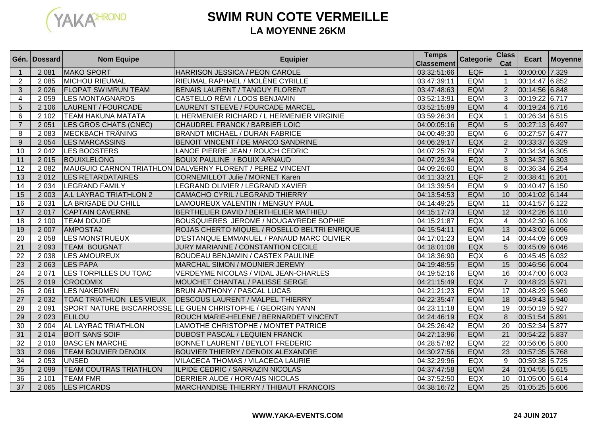

# **SWIM RUN COTE VERMEILLELA MOYENNE 26KM**

|                 | Gén.   Dossard | <b>Nom Equipe</b>               | <b>Equipier</b>                                            | <b>Temps</b><br><b>Classement</b> | <b>Categorie</b> | <b>Class</b><br>Cat | Ecart          | <b>Moyenne</b> |
|-----------------|----------------|---------------------------------|------------------------------------------------------------|-----------------------------------|------------------|---------------------|----------------|----------------|
| $\mathbf{1}$    | 2 0 8 1        | MAKO SPORT                      | HARRISON JESSICA / PEON CAROLE                             | 03:32:51:66                       | <b>EQF</b>       | $\overline{1}$      | 00:00:00 7.329 |                |
| 2               | 2 0 8 5        | <b>MICHOU RIEUMAL</b>           | RIEUMAL RAPHAEL / MOLÈNE CYRILLE                           | 03:47:39:11                       | EQM              | $\overline{1}$      | 00:14:47 6.852 |                |
| 3               | 2 0 2 6        | <b>FLOPAT SWIMRUN TEAM</b>      | BENAIS LAURENT / TANGUY FLORENT                            | 03:47:48:63                       | <b>EQM</b>       | $\overline{2}$      | 00:14:56 6.848 |                |
| $\overline{4}$  | 2 0 5 9        | <b>LES MONTAGNARDS</b>          | CASTELLO RÉMI / LOOS BENJAMIN                              | 03:52:13:91                       | EQM              | 3                   | 00:19:22 6.717 |                |
| 5               | 2 10 6         | LAURENT / FOURCADE              | LAURENT STEEVE / FOURCADE MARCEL                           | 03:52:15:89                       | <b>EQM</b>       | $\overline{4}$      | 00:19:24 6.716 |                |
| 6               | 2 1 0 2        | TEAM HAKUNA MATATA              | L HERMENIER RICHARD / L HERMENIER VIRGINIE                 | 03:59:26:34                       | EQX              | $\overline{1}$      | 00:26:34 6.515 |                |
| $\overline{7}$  | 2 0 5 1        | LES GROS CHATS (CNEC)           | CHAUDREL FRANCK / BARBIER LOIC                             | 04:00:05:16                       | <b>EQM</b>       | 5                   | 00:27:13 6.497 |                |
| 8               | 2 0 8 3        | <b>MECKBACH TRÄNING</b>         | <b>BRANDT MICHAEL / DURAN FABRICE</b>                      | 04:00:49:30                       | EQM              | 6                   | 00:27:57 6.477 |                |
| 9               | 2 0 5 4        | <b>LES MARCASSINS</b>           | BENOIT VINCENT / DE MARCO SANDRINE                         | 04:06:29:17                       | EQX              | $\overline{2}$      | 00:33:37 6.329 |                |
| 10              | 2 0 4 2        | <b>LES BOOSTERS</b>             | LANOE PIERRE JEAN / ROUCH CEDRIC                           | 04:07:25:79                       | <b>EQM</b>       | $\overline{7}$      | 00:34:34 6.305 |                |
| 11              | 2015           | <b>BOUIXLELONG</b>              | <b>BOUIX PAULINE / BOUIX ARNAUD</b>                        | 04:07:29:34                       | <b>EQX</b>       | $\mathbf{3}$        | 00:34:37 6.303 |                |
| 12              | 2 0 8 2        |                                 | MAUGUIO CARNON TRIATHLON DALVERNY FLORENT / PEREZ VINCENT  | 04:09:26:60                       | EQM              | 8                   | 00:36:34 6.254 |                |
| 13              | 2012           | <b>LES RETARDATAIRES</b>        | CORNEMILLOT Julie / MORNET Karen                           | 04:11:33:21                       | <b>EQF</b>       | $\overline{2}$      | 00:38:41 6.201 |                |
| 14              | 2 0 3 4        | <b>LEGRAND FAMILY</b>           | LEGRAND OLIVIER / LEGRAND XAVIER                           | 04:13:39:54                       | <b>EQM</b>       | 9                   | 00:40:47 6.150 |                |
| 15              | 2 0 0 3        | A.L LAYRAC TRIATHLON 2          | CAMACHO CYRIL / LEGRAND THIERRY                            | 04:13:54:53                       | <b>EQM</b>       | 10                  | 00:41:02 6.144 |                |
| 16              | 2 0 3 1        | <b>LA BRIGADE DU CHILL</b>      | LAMOUREUX VALENTIN / MENGUY PAUL                           | 04:14:49:25                       | <b>EQM</b>       | 11                  | 00:41:57 6.122 |                |
| 17              | 2017           | <b>CAPTAIN CAVERNE</b>          | BERTHELIER DAVID / BERTHELIER MATHIEU                      | 04:15:17:73                       | <b>EQM</b>       | 12                  | 00:42:26 6.110 |                |
| 18              | 2 100          | <b>TEAM DOUDE</b>               | BOUSQUIERES JEROME / NOUGAYREDE SOPHIE                     | 04:15:21:87                       | EQX              | $\overline{4}$      | 00:42:30 6.109 |                |
| 19              | 2 0 0 7        | AMPOSTA2                        | ROJAS CHERTO MIQUEL / ROSELLO BELTRI ENRIQUE               | 04:15:54:11                       | <b>EQM</b>       | $\overline{13}$     | 00:43:02 6.096 |                |
| 20              | 2 0 5 8        | <b>LES MONSTRUEUX</b>           | D'ESTANQUE EMMANUEL / PANAUD MARC OLIVIER                  | 04:17:01:23                       | EQM              | $\overline{14}$     | 00:44:09 6.069 |                |
| 21              | 2 0 9 3        | <b>TEAM BOUGNAT</b>             | JURY MARIANNE / CONSTANTION CECILE                         | 04:18:01:08                       | <b>EQX</b>       | 5                   | 00:45:09 6.046 |                |
| 22              | 2 0 3 8        | <b>LES AMOUREUX</b>             | <b>BOUDEAU BENJAMIN / CASTEX PAULINE</b>                   | 04:18:36:90                       | EQX              | $6\phantom{1}6$     | 00:45:45 6.032 |                |
| 23              | 2 0 6 3        | <b>LES PAPA</b>                 | <b>MARCHAL SIMON / MOUNIER JEREMY</b>                      | 04:19:48:55                       | <b>EQM</b>       | 15                  | 00:46:56 6.004 |                |
| 24              | 2 0 7 1        | LES TORPILLES DU TOAC           | <b>VERDEYME NICOLAS / VIDAL JEAN-CHARLES</b>               | 04:19:52:16                       | EQM              | 16                  | 00:47:00 6.003 |                |
| 25              | 2019           | <b>CROCOMIX</b>                 | MOUCHET CHANTAL / PALISSE SERGE                            | 04:21:15:49                       | EQX              | $\overline{7}$      | 00:48:23 5.971 |                |
| 26              | 2 0 6 1        | <b>LES NAKEDMEN</b>             | BRUN ANTHONY / PASCAL LUCAS                                | 04:21:21:23                       | EQM              | 17                  | 00:48:29 5.969 |                |
| $\overline{27}$ | 2 0 3 2        | <b>TOAC TRIATHLON LES VIEUX</b> | <b>DESCOUS LAURENT / MALPEL THIERRY</b>                    | 04:22:35:47                       | <b>EQM</b>       | $\overline{18}$     | 00:49:43 5.940 |                |
| 28              | 2 0 9 1        |                                 | SPORT NATURE BISCARROSSE LE GUEN CHRISTOPHE / GEORGIN YANN | 04:23:11:18                       | EQM              | 19                  | 00:50:19 5.927 |                |
| 29              | 2 0 2 3        | <b>ELILOU</b>                   | ROUCH MARIE-HELENE / BERNARDET VINCENT                     | 04:24:46:19                       | EQX              | 8                   | 00:51:54 5.891 |                |
| 30              | 2 0 0 4        | AL LAYRAC TRIATHLON             | LAMOTHE CHRISTOPHE / MONTET PATRICE                        | 04:25:26:42                       | EQM              | 20                  | 00:52:34 5.877 |                |
| 31              | 2014           | <b>BOIT SANS SOIF</b>           | <b>DUBOST PASCAL / LEQUIEN FRANCK</b>                      | 04:27:13:96                       | <b>EQM</b>       | 21                  | 00:54:22 5.837 |                |
| 32              | 2010           | <b>BASC EN MARCHE</b>           | <b>BONNET LAURENT / BEYLOT FREDERIC</b>                    | 04:28:57:82                       | <b>EQM</b>       | 22                  | 00:56:06 5.800 |                |
| 33              | 2 0 9 6        | TEAM BOUVIER DENOIX             | <b>BOUVIER THIERRY / DENOIX ALEXANDRE</b>                  | 04:30:27:56                       | <b>EQM</b>       | 23                  | 00:57:35 5.768 |                |
| 34              | 2 0 5 3        | <b>UNSED</b>                    | VILACECA THOMAS / VILACECA LAURIE                          | 04:32:29:96                       | EQX              | 9                   | 00:59:38 5.725 |                |
| 35              | 2 0 9 9        | <b>TEAM COUTRAS TRIATHLON</b>   | ILPIDE CÉDRIC / SARRAZIN NICOLAS                           | 04:37:47:58                       | <b>EQM</b>       | 24                  | 01:04:55 5.615 |                |
| 36              | 2 1 0 1        | <b>TEAM FMR</b>                 | <b>DERRIER AUDE / HORVAIS NICOLAS</b>                      | 04:37:52:50                       | EQX              | 10                  | 01:05:00 5.614 |                |
| 37              | 2 0 6 5        | <b>LES PICARDS</b>              | MARCHANDISE THIERRY / THIBAUT FRANCOIS                     | 04:38:16:72                       | <b>EQM</b>       | 25                  | 01:05:25 5.606 |                |

### **WWW.YAKA-EVENTS.COM**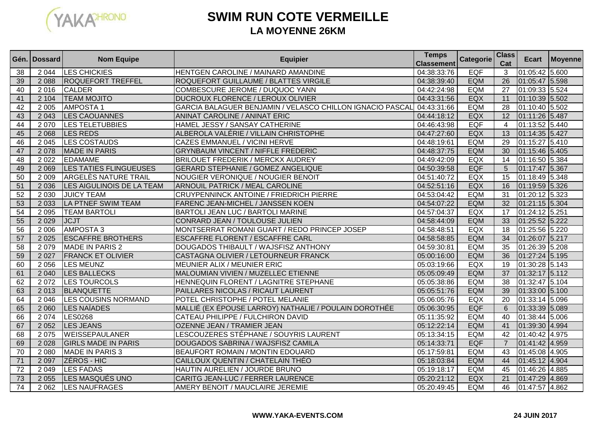

# **SWIM RUN COTE VERMEILLELA MOYENNE 26KM**

|    | Gén. I Dossard | <b>Nom Equipe</b>           | <b>Equipier</b>                                           | <b>Temps</b><br><b>Classement</b> | Categorie  | <b>Class</b><br>Cat | Ecart            | Moyenne |
|----|----------------|-----------------------------|-----------------------------------------------------------|-----------------------------------|------------|---------------------|------------------|---------|
| 38 | 2 0 4 4        | <b>LES CHICKIES</b>         | HENTGEN CAROLINE / MAINARD AMANDINE                       | 04:38:33:76                       | <b>EQF</b> | 3                   | 01:05:42 5.600   |         |
| 39 | 2 0 8 8        | <b>ROQUEFORT TREFFEL</b>    | ROQUEFORT GUILLAUME / BLATTES VIRGILE                     | 04:38:39:40                       | <b>EQM</b> | $\overline{26}$     | 01:05:47 5.598   |         |
| 40 | 2016           | <b>CALDER</b>               | COMBESCURE JEROME / DUQUOC YANN                           | 04:42:24:98                       | EQM        | 27                  | 01:09:33 5.524   |         |
| 41 | 2 1 0 4        | <b>TEAM MOJITO</b>          | DUCROUX FLORENCE / LEROUX OLIVIER                         | 04:43:31:56                       | EQX        | 11                  | 01:10:39 5.502   |         |
| 42 | 2 0 0 5        | <b>AMPOSTA1</b>             | GARCIA BALAGUER BENJAMIN / VELASCO CHILLON IGNACIO PASCAL | 04:43:31:66                       | <b>EQM</b> | 28                  | 01:10:40 5.502   |         |
| 43 | 2 0 4 3        | <b>LES CAOUANNES</b>        | ANINAT CAROLINE / ANINAT ERIC                             | 04:44:18:12                       | EQX        | 12                  | 01:11:26 5.487   |         |
| 44 | 2070           | <b>LES TELETUBBIES</b>      | HAMEL JESSY / SANSAY CATHERINE                            | 04:46:43:98                       | <b>EQF</b> | $\overline{4}$      | 01:13:52 5.440   |         |
| 45 | 2 0 6 8        | <b>LES REDS</b>             | ALBEROLA VALÉRIE / VILLAIN CHRISTOPHE                     | 04:47:27:60                       | EQX        | 13                  | 01:14:35 5.427   |         |
| 46 | 2 0 4 5        | <b>LES COSTAUDS</b>         | CAZES EMMANUEL / VICINI HERVE                             | 04:48:19:61                       | <b>EQM</b> | 29                  | 01:15:27 5.410   |         |
| 47 | 2 0 7 8        | <b>MADE IN PARIS</b>        | <b>GRYNBAUM VINCENT / NIFFLE FREDERIC</b>                 | 04:48:37:75                       | <b>EQM</b> | 30                  | 01:15:46 5.405   |         |
| 48 | 2 0 2 2        | <b>EDAMAME</b>              | <b>BRILOUET FREDERIK / MERCKX AUDREY</b>                  | 04:49:42:09                       | <b>EQX</b> | 14                  | 01:16:50 5.384   |         |
| 49 | 2 0 6 9        | LES TATIES FLINGUEUSES      | <b>GERARD STEPHANIE / GOMEZ ANGELIQUE</b>                 | 04:50:39:58                       | <b>EQF</b> | 5                   | 01:17:47 5.367   |         |
| 50 | 2 0 0 9        | <b>ARGELÈS NATURE TRAIL</b> | NOUGIER VERONIQUE / NOUGIER BENOIT                        | 04:51:40:72                       | EQX        | 15                  | 01:18:49 5.348   |         |
| 51 | 2 0 3 6        | LES AIGULINOIS DE LA TEAM   | ARNOUIL PATRICK / MEAL CAROLINE                           | 04:52:51:16                       | EQX        | 16                  | 01:19:59 5.326   |         |
| 52 | 2 0 3 0        | <b>JUICY TEAM</b>           | <b>CRUYPENNINCK ANTOINE / FRIEDRICH PIERRE</b>            | 04:53:04:42                       | <b>EQM</b> | $\overline{31}$     | 01:20:12 5.323   |         |
| 53 | 2 0 3 3        | <b>LA PTNEF SWIM TEAM</b>   | FARENC JEAN-MICHEL / JANSSEN KOEN                         | 04:54:07:22                       | EQM        | $\overline{32}$     | 01:21:15 5.304   |         |
| 54 | 2 0 9 5        | <b>TEAM BARTOLI</b>         | BARTOLI JEAN LUC / BARTOLI MARINE                         | 04:57:04:37                       | EQX        | 17                  | 01:24:12 5.251   |         |
| 55 | 2 0 2 9        | <b>JCJT</b>                 | CONRARD JEAN / TOULOUSE JULIEN                            | 04:58:44:09                       | <b>EQM</b> | 33                  | 01:25:52 5.222   |         |
| 56 | 2 0 0 6        | <b>AMPOSTA3</b>             | MONTSERRAT ROMANI GUART / REDO PRINCEP JOSEP              | 04:58:48:51                       | EQX        | $\overline{18}$     | 01:25:56 5.220   |         |
| 57 | 2 0 2 5        | <b>ESCAFFRE BROTHERS</b>    | <b>ESCAFFRE FLORENT / ESCAFFRE CARL</b>                   | 04:58:58:85                       | <b>EQM</b> | 34                  | 01:26:07 5.217   |         |
| 58 | 2079           | <b>MADE IN PARIS 2</b>      | DOUGADOS THIBAULT / WAJSFISZ ANTHONY                      | 04:59:30:81                       | <b>EQM</b> | 35                  | 01:26:39 5.208   |         |
| 59 | 2 0 2 7        | <b>FRANCK ET OLIVIER</b>    | CASTAGNA OLIVIER / LETOURNEUR FRANCK                      | 05:00:16:00                       | <b>EQM</b> | 36                  | 01:27:24 5.195   |         |
| 60 | 2 0 5 6        | <b>LES MEUNZ</b>            | MEUNIER ALIX / MEUNIER ERIC                               | 05:03:19:66                       | EQX        | 19                  | 01:30:28 5.143   |         |
| 61 | 2 0 4 0        | <b>LES BALLECKS</b>         | MALOUMIAN VIVIEN / MUZELLEC ETIENNE                       | 05:05:09:49                       | <b>EQM</b> | $\overline{37}$     | $01:32:17$ 5.112 |         |
| 62 | 2 0 7 2        | <b>LES TOURCOLS</b>         | HENNEQUIN FLORENT / LAGNITRE STEPHANE                     | 05:05:38:86                       | <b>EQM</b> | $\overline{38}$     | 01:32:47 5.104   |         |
| 63 | 2013           | BLANQUETTE                  | PAILLARES NICOLAS / RICAUT LAURENT                        | 05:05:51:76                       | <b>EQM</b> | $\overline{39}$     | 01:33:00 5.100   |         |
| 64 | 2 0 4 6        | <b>LES COUSINS NORMAND</b>  | POTEL CHRISTOPHE / POTEL MELANIE                          | 05:06:05:76                       | EQX        | 20                  | 01:33:14 5.096   |         |
| 65 | 2 0 6 0        | <b>LES NAÏADES</b>          | MALLIÉ (EX ÉPOUSE LARROY) NATHALIE / POULAIN DOROTHÉE     | 05:06:30:95                       | <b>EQF</b> | 6                   | 01:33:39 5.089   |         |
| 66 | 2 0 7 4        | <b>LES0268</b>              | CATEAU PHILIPPE / FULCHIRON DAVID                         | 05:11:35:92                       | <b>EQM</b> | 40                  | 01:38:44 5.006   |         |
| 67 | 2 0 5 2        | <b>LES JEANS</b>            | OZENNE JEAN / TRAMIER JEAN                                | 05:12:22:14                       | <b>EQM</b> | $\overline{41}$     | 01:39:30 4.994   |         |
| 68 | 2075           | WEISSEPAULANER              | LESCOUZERES STÉPHANE / SOUYRIS LAURENT                    | 05:13:34:15                       | <b>EQM</b> | 42                  | 01:40:42 4.975   |         |
| 69 | 2 0 2 8        | <b>GIRLS MADE IN PARIS</b>  | DOUGADOS SABRINA / WAJSFISZ CAMILA                        | 05:14:33:71                       | <b>EQF</b> | $\overline{7}$      | 01:41:42 4.959   |         |
| 70 | 2 0 8 0        | MADE IN PARIS 3             | <b>BEAUFORT ROMAIN / MONTIN EDOUARD</b>                   | 05:17:59:81                       | <b>EQM</b> | 43                  | 01:45:08 4.905   |         |
| 71 | 2 0 9 7        | ZÉROS - HIC                 | CAILLOUX QUENTIN / CHATELAIN THÉO                         | 05:18:03:84                       | EQM        | 44                  | 01:45:12 4.904   |         |
| 72 | 2 0 4 9        | <b>LES FADAS</b>            | HAUTIN AURELIEN / JOURDE BRUNO                            | 05:19:18:17                       | EQM        | 45                  | 01:46:26 4.885   |         |
| 73 | 2 0 5 5        | LES MASQUÉS UNO             | CARITG JEAN-LUC / FERRER LAURENCE                         | 05:20:21:12                       | EQX        | 21                  | 01:47:29 4.869   |         |
| 74 | 2 0 6 2        | <b>LES NAUFRAGES</b>        | AMERY BENOIT / MAUCLAIRE JEREMIE                          | 05:20:49:45                       | <b>EQM</b> | 46                  | 01:47:57 4.862   |         |

### **WWW.YAKA-EVENTS.COM**